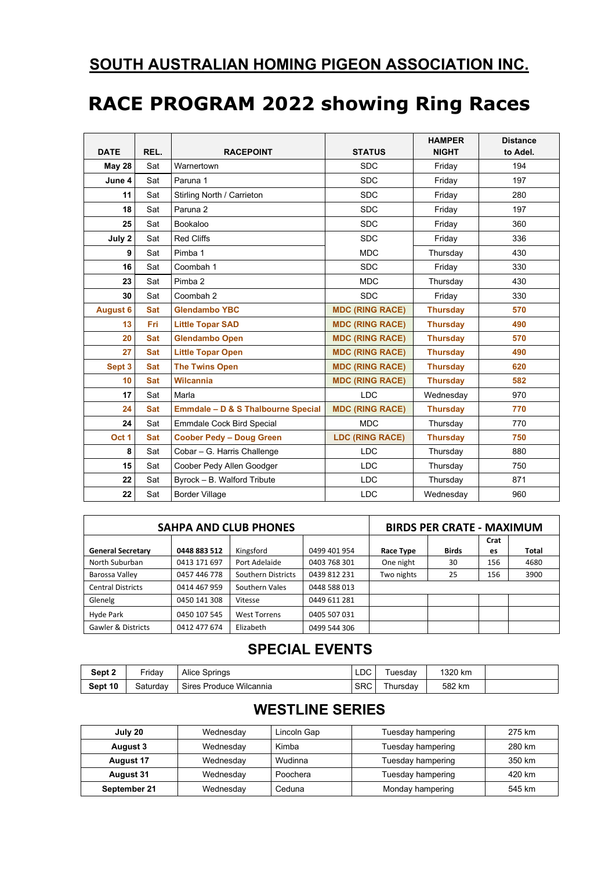## **SOUTH AUSTRALIAN HOMING PIGEON ASSOCIATION INC.**

## **RACE PROGRAM 2022 showing Ring Races**

| <b>DATE</b>     | REL.       | <b>RACEPOINT</b>                   | <b>STATUS</b>          | <b>HAMPER</b><br><b>NIGHT</b> | <b>Distance</b><br>to Adel. |
|-----------------|------------|------------------------------------|------------------------|-------------------------------|-----------------------------|
| <b>May 28</b>   | Sat        | Warnertown                         | <b>SDC</b>             | Friday                        | 194                         |
| June 4          | Sat        | Paruna 1                           | <b>SDC</b>             | Friday                        | 197                         |
| 11              | Sat        | Stirling North / Carrieton         | <b>SDC</b>             | Friday                        | 280                         |
| 18              | Sat        | Paruna <sub>2</sub>                | <b>SDC</b>             | Friday                        | 197                         |
| 25              | Sat        | Bookaloo                           | <b>SDC</b>             | Friday                        | 360                         |
| July 2          | Sat        | <b>Red Cliffs</b>                  | <b>SDC</b>             | Friday                        | 336                         |
| 9               | Sat        | Pimba 1                            | <b>MDC</b>             | Thursday                      | 430                         |
| 16              | Sat        | Coombah 1                          | <b>SDC</b>             | Friday                        | 330                         |
| 23              | Sat        | Pimba 2                            | <b>MDC</b>             | Thursday                      | 430                         |
| 30              | Sat        | Coombah 2                          | <b>SDC</b>             | Friday                        | 330                         |
| <b>August 6</b> | <b>Sat</b> | <b>Glendambo YBC</b>               | <b>MDC (RING RACE)</b> | <b>Thursday</b>               | 570                         |
| 13              | <b>Fri</b> | <b>Little Topar SAD</b>            | <b>MDC (RING RACE)</b> | <b>Thursday</b>               | 490                         |
| 20              | <b>Sat</b> | <b>Glendambo Open</b>              | <b>MDC (RING RACE)</b> | <b>Thursday</b>               | 570                         |
| 27              | <b>Sat</b> | <b>Little Topar Open</b>           | <b>MDC (RING RACE)</b> | <b>Thursday</b>               | 490                         |
| Sept 3          | <b>Sat</b> | <b>The Twins Open</b>              | <b>MDC (RING RACE)</b> | <b>Thursday</b>               | 620                         |
| 10              | <b>Sat</b> | <b>Wilcannia</b>                   | <b>MDC (RING RACE)</b> | <b>Thursday</b>               | 582                         |
| 17              | Sat        | Marla                              | <b>LDC</b>             | Wednesday                     | 970                         |
| 24              | <b>Sat</b> | Emmdale - D & S Thalbourne Special | <b>MDC (RING RACE)</b> | <b>Thursday</b>               | 770                         |
| 24              | Sat        | <b>Emmdale Cock Bird Special</b>   | <b>MDC</b>             | Thursday                      | 770                         |
| Oct 1           | <b>Sat</b> | <b>Coober Pedy - Doug Green</b>    | <b>LDC (RING RACE)</b> | <b>Thursday</b>               | 750                         |
| 8               | Sat        | Cobar - G. Harris Challenge        | <b>LDC</b>             | Thursday                      | 880                         |
| 15              | Sat        | Coober Pedy Allen Goodger          | <b>LDC</b>             | Thursday                      | 750                         |
| 22              | Sat        | Byrock - B. Walford Tribute        | <b>LDC</b>             | Thursday                      | 871                         |
| 22              | Sat        | <b>Border Village</b>              | <b>LDC</b>             | Wednesday                     | 960                         |

|                               | <b>SAHPA AND CLUB PHONES</b> | <b>BIRDS PER CRATE - MAXIMUM</b> |              |            |              |            |              |  |
|-------------------------------|------------------------------|----------------------------------|--------------|------------|--------------|------------|--------------|--|
| <b>General Secretary</b>      | 0448 883 512                 | Kingsford                        | 0499 401 954 | Race Type  | <b>Birds</b> | Crat<br>es | <b>Total</b> |  |
| North Suburban                | 0413 171 697                 | Port Adelaide                    |              |            |              |            |              |  |
|                               |                              |                                  | 0403 768 301 | One night  | 30           | 156        | 4680         |  |
| Barossa Valley                | 0457 446 778                 | Southern Districts               | 0439 812 231 | Two nights | 25           | 156        | 3900         |  |
| <b>Central Districts</b>      | 0414 467 959                 | Southern Vales                   | 0448 588 013 |            |              |            |              |  |
| Glenelg                       | 0450 141 308                 | Vitesse                          | 0449 611 281 |            |              |            |              |  |
| Hyde Park                     | 0450 107 545                 | <b>West Torrens</b>              | 0405 507 031 |            |              |            |              |  |
| <b>Gawler &amp; Districts</b> | 0412 477 674                 | Elizabeth                        | 0499 544 306 |            |              |            |              |  |

## **SPECIAL EVENTS**

| Sept 2  | ⊏ridav   | <b>Alice Springs</b>    | LDC        | uesdav   | 1320 km |  |
|---------|----------|-------------------------|------------|----------|---------|--|
| Sept 10 | Saturdav | Sires Produce Wilcannia | <b>SRC</b> | ⊺hursdav | 582 km  |  |

## **WESTLINE SERIES**

| July 20          | Wednesdav | Lincoln Gap | Tuesday hampering | 275 km |  |  |
|------------------|-----------|-------------|-------------------|--------|--|--|
| August 3         | Wednesdav | Kimba       | Tuesday hampering | 280 km |  |  |
| <b>August 17</b> | Wednesdav | Wudinna     | Tuesday hampering | 350 km |  |  |
| August 31        | Wednesdav | Poochera    | Tuesday hampering | 420 km |  |  |
| September 21     | Wednesday | Ceduna      | Monday hampering  | 545 km |  |  |